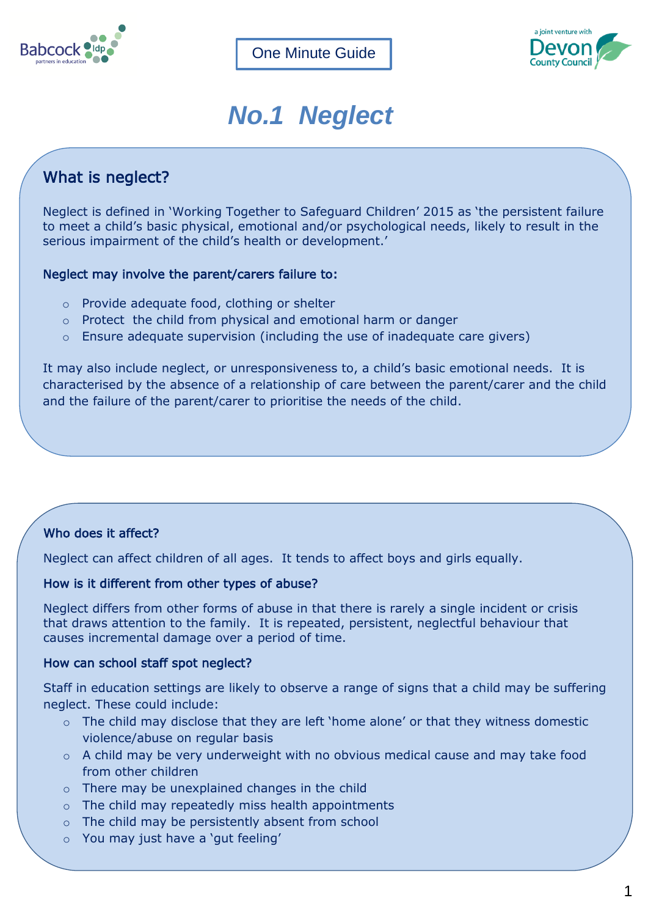



# *No.1 Neglect*

## What is neglect?

Neglect is defined in 'Working Together to Safeguard Children' 2015 as 'the persistent failure to meet a child's basic physical, emotional and/or psychological needs, likely to result in the serious impairment of the child's health or development.'

#### Neglect may involve the parent/carers failure to:

- o Provide adequate food, clothing or shelter
- o Protect the child from physical and emotional harm or danger
- o Ensure adequate supervision (including the use of inadequate care givers)

It may also include neglect, or unresponsiveness to, a child's basic emotional needs. It is characterised by the absence of a relationship of care between the parent/carer and the child and the failure of the parent/carer to prioritise the needs of the child.

### Who does it affect?

Neglect can affect children of all ages. It tends to affect boys and girls equally.

#### How is it different from other types of abuse?

Neglect differs from other forms of abuse in that there is rarely a single incident or crisis that draws attention to the family. It is repeated, persistent, neglectful behaviour that causes incremental damage over a period of time.

#### How can school staff spot neglect?

Staff in education settings are likely to observe a range of signs that a child may be suffering neglect. These could include:

- $\circ$  The child may disclose that they are left 'home alone' or that they witness domestic violence/abuse on regular basis
- o A child may be very underweight with no obvious medical cause and may take food from other children
- o There may be unexplained changes in the child
- o The child may repeatedly miss health appointments
- o The child may be persistently absent from school
- o You may just have a 'gut feeling'